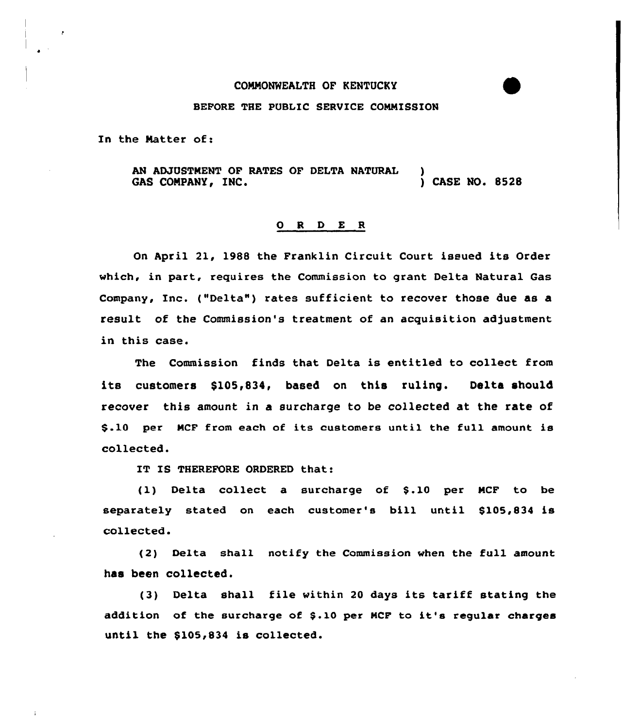## COMMONWEALTH OF KENTUCKY

## BEFORE THE PUBLIC SERVICE COMMISSION

In the Matter of:

AN ADJUSTMENT OF RATES OF DELTA NATURAL )<br>GAS COMPANY, INC. (2528) GAS COMPANY, INC.

## ORDER

On April 21, 1988 the Franklin Circuit Court issued its Order which, in part, requires the Commission to grant Delta Natural Gas Company, Inc. ("Delta") rates sufficient to recover those due as a result of the Commission's treatment of an acquisition adjustment in this case.

The Commission finds that Delta is entitled to collect from its customers \$105,834, based on this ruling. Delta should recover this amount in a surcharge to be collected at the rate of \$.10 per MCF from each of its customers until the full amount is collected.

IT IS THEREFORE ORDERED that:

(1) Delta collect a surcharge of \$.10 per MCF to be separately stated on each customer's bill until \$105,834 is collected.

(2) Delta shall notify the Commission when the full amount has been collected.

(3) Delta shall file within <sup>20</sup> days its tariff stating the addition of the surcharge of \$.10 per MCF to it's regular charges until the \$105,834 is collected.